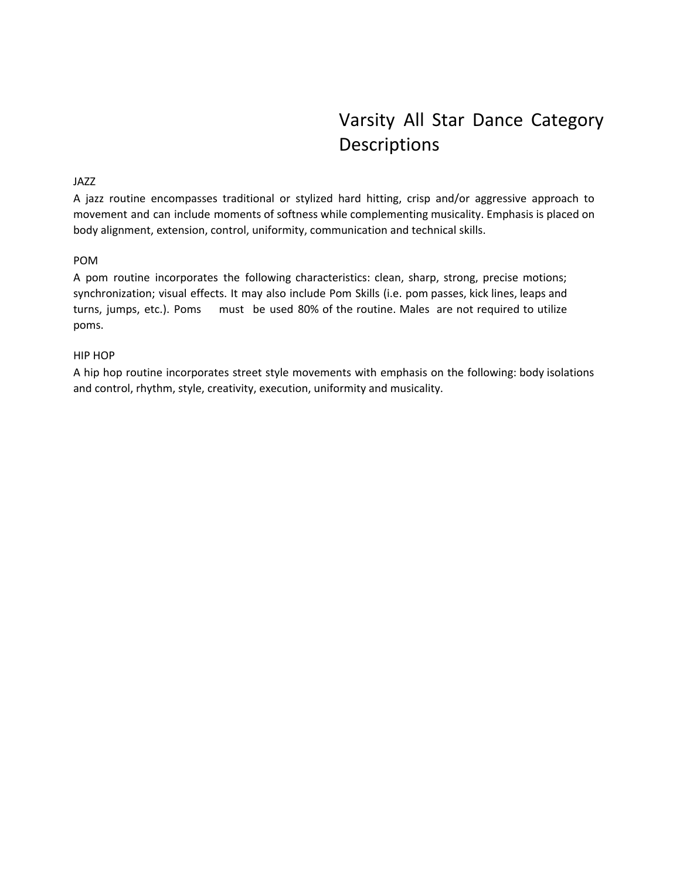# Varsity All Star Dance Category Descriptions

# JAZZ

A jazz routine encompasses traditional or stylized hard hitting, crisp and/or aggressive approach to movement and can include moments of softness while complementing musicality. Emphasis is placed on body alignment, extension, control, uniformity, communication and technical skills.

# POM

A pom routine incorporates the following characteristics: clean, sharp, strong, precise motions; synchronization; visual effects. It may also include Pom Skills (i.e. pom passes, kick lines, leaps and turns, jumps, etc.). Poms must be used 80% of the routine. Males are not required to utilize poms.

# HIP HOP

A hip hop routine incorporates street style movements with emphasis on the following: body isolations and control, rhythm, style, creativity, execution, uniformity and musicality.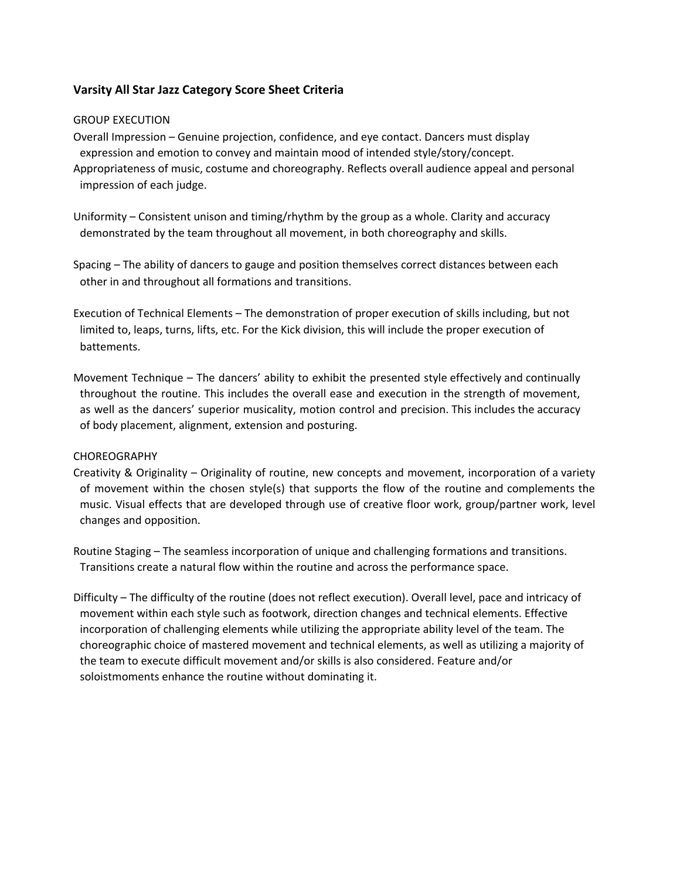# **Varsity All Star Jazz Category Score Sheet Criteria**

#### GROUP EXECUTION

Overall Impression – Genuine projection, confidence, and eye contact. Dancers must display expression and emotion to convey and maintain mood of intended style/story/concept. Appropriateness of music, costume and choreography. Reflects overall audience appeal and personal impression of each judge.

Uniformity – Consistent unison and timing/rhythm by the group as a whole. Clarity and accuracy demonstrated by the team throughout all movement, in both choreography and skills.

Spacing – The ability of dancers to gauge and position themselves correct distances between each other in and throughout all formations and transitions.

- Execution of Technical Elements The demonstration of proper execution of skills including, but not limited to, leaps, turns, lifts, etc. For the Kick division, this will include the proper execution of battements.
- Movement Technique The dancers' ability to exhibit the presented style effectively and continually throughout the routine. This includes the overall ease and execution in the strength of movement, as well as the dancers' superior musicality, motion control and precision. This includes the accuracy of body placement, alignment, extension and posturing.

# CHOREOGRAPHY

- Creativity & Originality Originality of routine, new concepts and movement, incorporation of a variety of movement within the chosen style(s) that supports the flow of the routine and complements the music. Visual effects that are developed through use of creative floor work, group/partner work, level changes and opposition.
- Routine Staging The seamless incorporation of unique and challenging formations and transitions. Transitions create a natural flow within the routine and across the performance space.
- Difficulty The difficulty of the routine (does not reflect execution). Overall level, pace and intricacy of movement within each style such as footwork, direction changes and technical elements. Effective incorporation of challenging elements while utilizing the appropriate ability level of the team. The choreographic choice of mastered movement and technical elements, as well as utilizing a majority of the team to execute difficult movement and/or skills is also considered. Feature and/or soloistmoments enhance the routine without dominating it.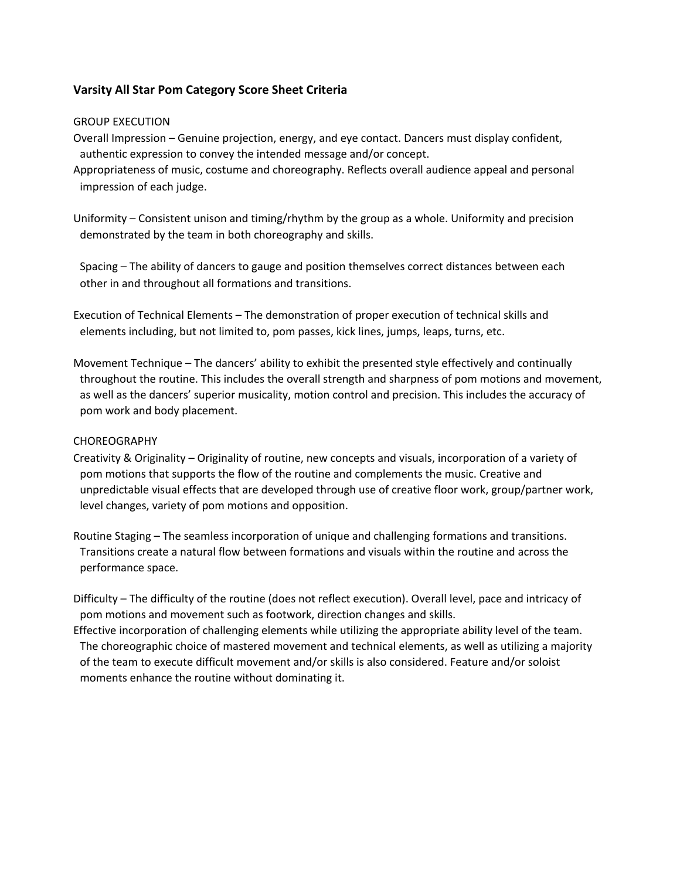# **Varsity All Star Pom Category Score Sheet Criteria**

#### GROUP EXECUTION

- Overall Impression Genuine projection, energy, and eye contact. Dancers must display confident, authentic expression to convey the intended message and/or concept.
- Appropriateness of music, costume and choreography. Reflects overall audience appeal and personal impression of each judge.
- Uniformity Consistent unison and timing/rhythm by the group as a whole. Uniformity and precision demonstrated by the team in both choreography and skills.

Spacing – The ability of dancers to gauge and position themselves correct distances between each other in and throughout all formations and transitions.

- Execution of Technical Elements The demonstration of proper execution of technical skills and elements including, but not limited to, pom passes, kick lines, jumps, leaps, turns, etc.
- Movement Technique The dancers' ability to exhibit the presented style effectively and continually throughout the routine. This includes the overall strength and sharpness of pom motions and movement, as well as the dancers' superior musicality, motion control and precision. This includes the accuracy of pom work and body placement.

### CHOREOGRAPHY

- Creativity & Originality Originality of routine, new concepts and visuals, incorporation of a variety of pom motions that supports the flow of the routine and complements the music. Creative and unpredictable visual effects that are developed through use of creative floor work, group/partner work, level changes, variety of pom motions and opposition.
- Routine Staging The seamless incorporation of unique and challenging formations and transitions. Transitions create a natural flow between formations and visuals within the routine and across the performance space.

Difficulty – The difficulty of the routine (does not reflect execution). Overall level, pace and intricacy of pom motions and movement such as footwork, direction changes and skills.

Effective incorporation of challenging elements while utilizing the appropriate ability level of the team. The choreographic choice of mastered movement and technical elements, as well as utilizing a majority of the team to execute difficult movement and/or skills is also considered. Feature and/or soloist moments enhance the routine without dominating it.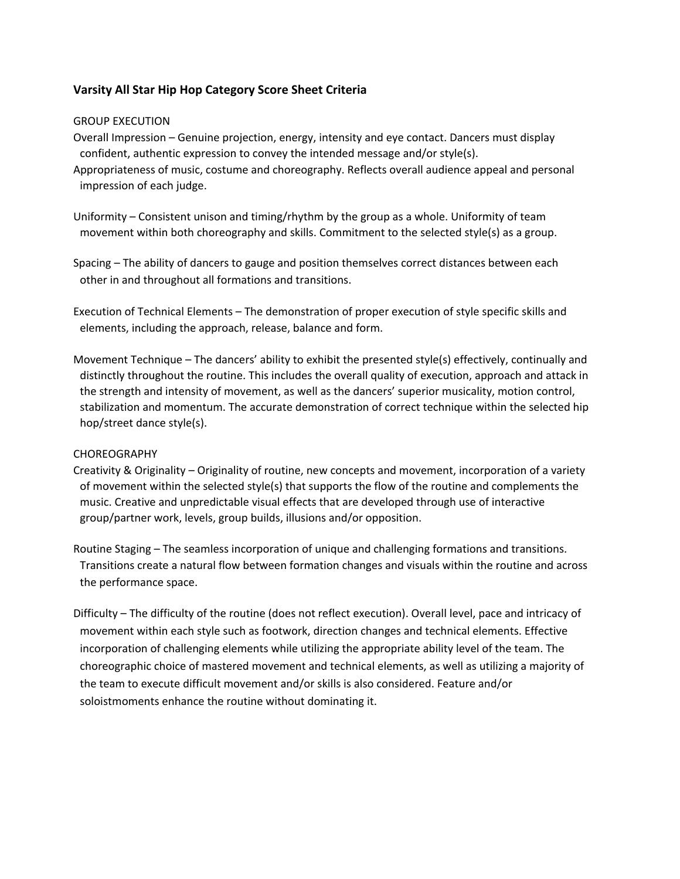# **Varsity All Star Hip Hop Category Score Sheet Criteria**

#### GROUP EXECUTION

- Overall Impression Genuine projection, energy, intensity and eye contact. Dancers must display confident, authentic expression to convey the intended message and/or style(s).
- Appropriateness of music, costume and choreography. Reflects overall audience appeal and personal impression of each judge.
- Uniformity Consistent unison and timing/rhythm by the group as a whole. Uniformity of team movement within both choreography and skills. Commitment to the selected style(s) as a group.
- Spacing The ability of dancers to gauge and position themselves correct distances between each other in and throughout all formations and transitions.
- Execution of Technical Elements The demonstration of proper execution of style specific skills and elements, including the approach, release, balance and form.
- Movement Technique The dancers' ability to exhibit the presented style(s) effectively, continually and distinctly throughout the routine. This includes the overall quality of execution, approach and attack in the strength and intensity of movement, as well as the dancers' superior musicality, motion control, stabilization and momentum. The accurate demonstration of correct technique within the selected hip hop/street dance style(s).

# CHOREOGRAPHY

- Creativity & Originality Originality of routine, new concepts and movement, incorporation of a variety of movement within the selected style(s) that supports the flow of the routine and complements the music. Creative and unpredictable visual effects that are developed through use of interactive group/partner work, levels, group builds, illusions and/or opposition.
- Routine Staging The seamless incorporation of unique and challenging formations and transitions. Transitions create a natural flow between formation changes and visuals within the routine and across the performance space.
- Difficulty The difficulty of the routine (does not reflect execution). Overall level, pace and intricacy of movement within each style such as footwork, direction changes and technical elements. Effective incorporation of challenging elements while utilizing the appropriate ability level of the team. The choreographic choice of mastered movement and technical elements, as well as utilizing a majority of the team to execute difficult movement and/or skills is also considered. Feature and/or soloistmoments enhance the routine without dominating it.